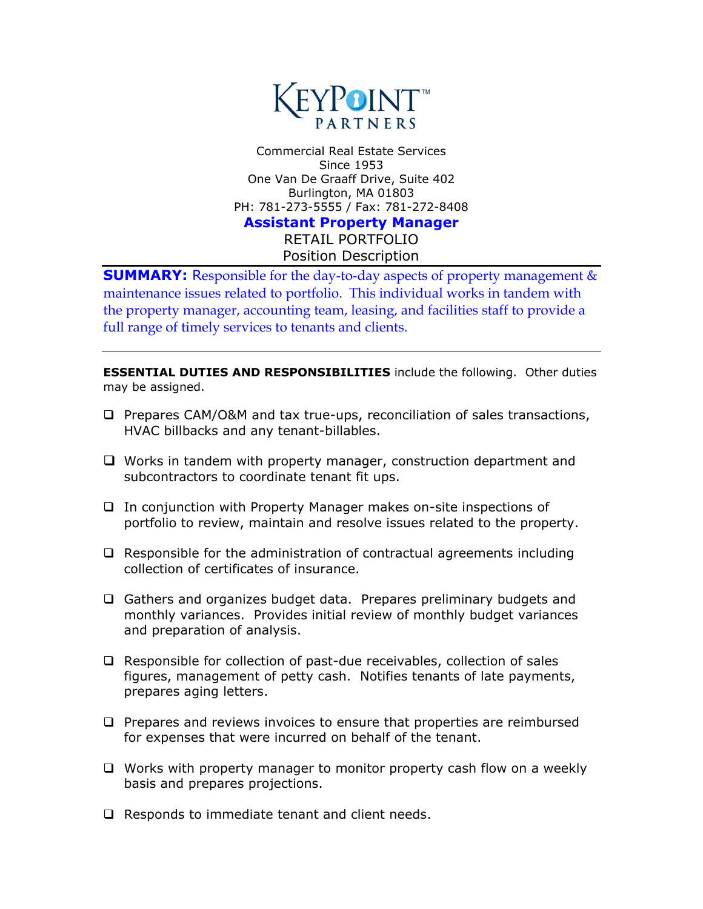

Commercial Real Estate Services Since 1953 One Van De Graaff Drive, Suite 402 Burlington, MA 01803 PH: 781-273-5555 / Fax: 781-272-8408 **Assistant Property Manager**

RETAIL PORTFOLIO Position Description

**SUMMARY:** Responsible for the day-to-day aspects of property management & maintenance issues related to portfolio. This individual works in tandem with the property manager, accounting team, leasing, and facilities staff to provide a full range of timely services to tenants and clients.

**ESSENTIAL DUTIES AND RESPONSIBILITIES** include the following. Other duties may be assigned.

- $\Box$  Prepares CAM/O&M and tax true-ups, reconciliation of sales transactions, HVAC billbacks and any tenant-billables.
- $\Box$  Works in tandem with property manager, construction department and subcontractors to coordinate tenant fit ups.
- $\Box$  In conjunction with Property Manager makes on-site inspections of portfolio to review, maintain and resolve issues related to the property.
- $\Box$  Responsible for the administration of contractual agreements including collection of certificates of insurance.
- □ Gathers and organizes budget data. Prepares preliminary budgets and monthly variances. Provides initial review of monthly budget variances and preparation of analysis.
- □ Responsible for collection of past-due receivables, collection of sales figures, management of petty cash. Notifies tenants of late payments, prepares aging letters.
- $\Box$  Prepares and reviews invoices to ensure that properties are reimbursed for expenses that were incurred on behalf of the tenant.
- $\Box$  Works with property manager to monitor property cash flow on a weekly basis and prepares projections.
- $\Box$  Responds to immediate tenant and client needs.